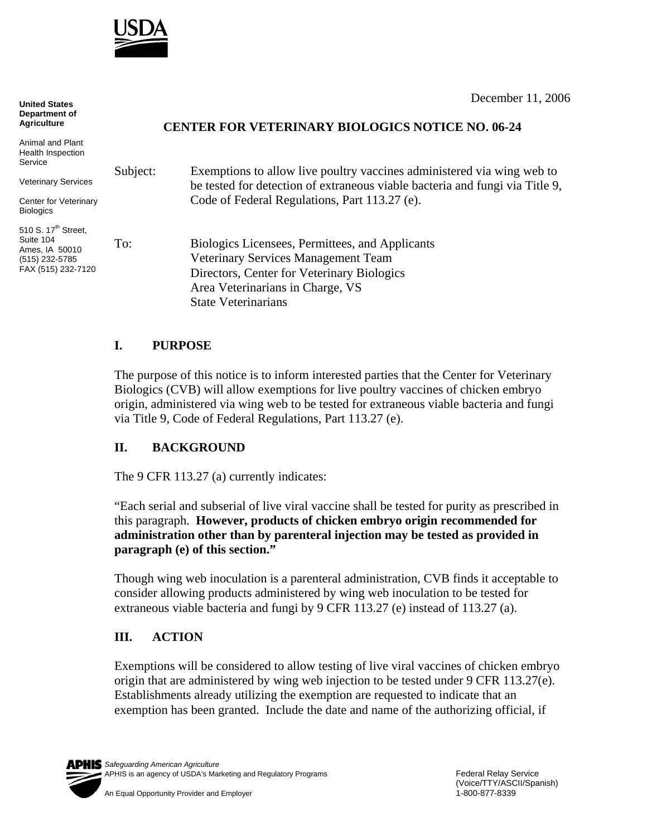

**United States Department of Agriculture**

Animal and Plant Health Inspection

Veterinary Services

510 S. 17<sup>th</sup> Street, Suite 104 Ames, IA 50010 (515) 232-5785

Service

**Biologics** 

December 11, 2006

## **CENTER FOR VETERINARY BIOLOGICS NOTICE NO. 06-24**

Subject: Exemptions to allow live poultry vaccines administered via wing web to be tested for detection of extraneous viable bacteria and fungi via Title 9, Code of Federal Regulations, Part 113.27 (e). To: Biologics Licensees, Permittees, and Applicants Veterinary Services Management Team Directors, Center for Veterinary Biologics Area Veterinarians in Charge, VS Center for Veterinary FAX (515) 232-7120

## **I. PURPOSE**

The purpose of this notice is to inform interested parties that the Center for Veterinary Biologics (CVB) will allow exemptions for live poultry vaccines of chicken embryo origin, administered via wing web to be tested for extraneous viable bacteria and fungi via Title 9, Code of Federal Regulations, Part 113.27 (e).

## **II. BACKGROUND**

The 9 CFR 113.27 (a) currently indicates:

State Veterinarians

"Each serial and subserial of live viral vaccine shall be tested for purity as prescribed in this paragraph. **However, products of chicken embryo origin recommended for administration other than by parenteral injection may be tested as provided in paragraph (e) of this section."** 

Though wing web inoculation is a parenteral administration, CVB finds it acceptable to consider allowing products administered by wing web inoculation to be tested for extraneous viable bacteria and fungi by 9 CFR 113.27 (e) instead of 113.27 (a).

## **III. ACTION**

Exemptions will be considered to allow testing of live viral vaccines of chicken embryo origin that are administered by wing web injection to be tested under 9 CFR  $113.27(e)$ . Establishments already utilizing the exemption are requested to indicate that an exemption has been granted. Include the date and name of the authorizing official, if